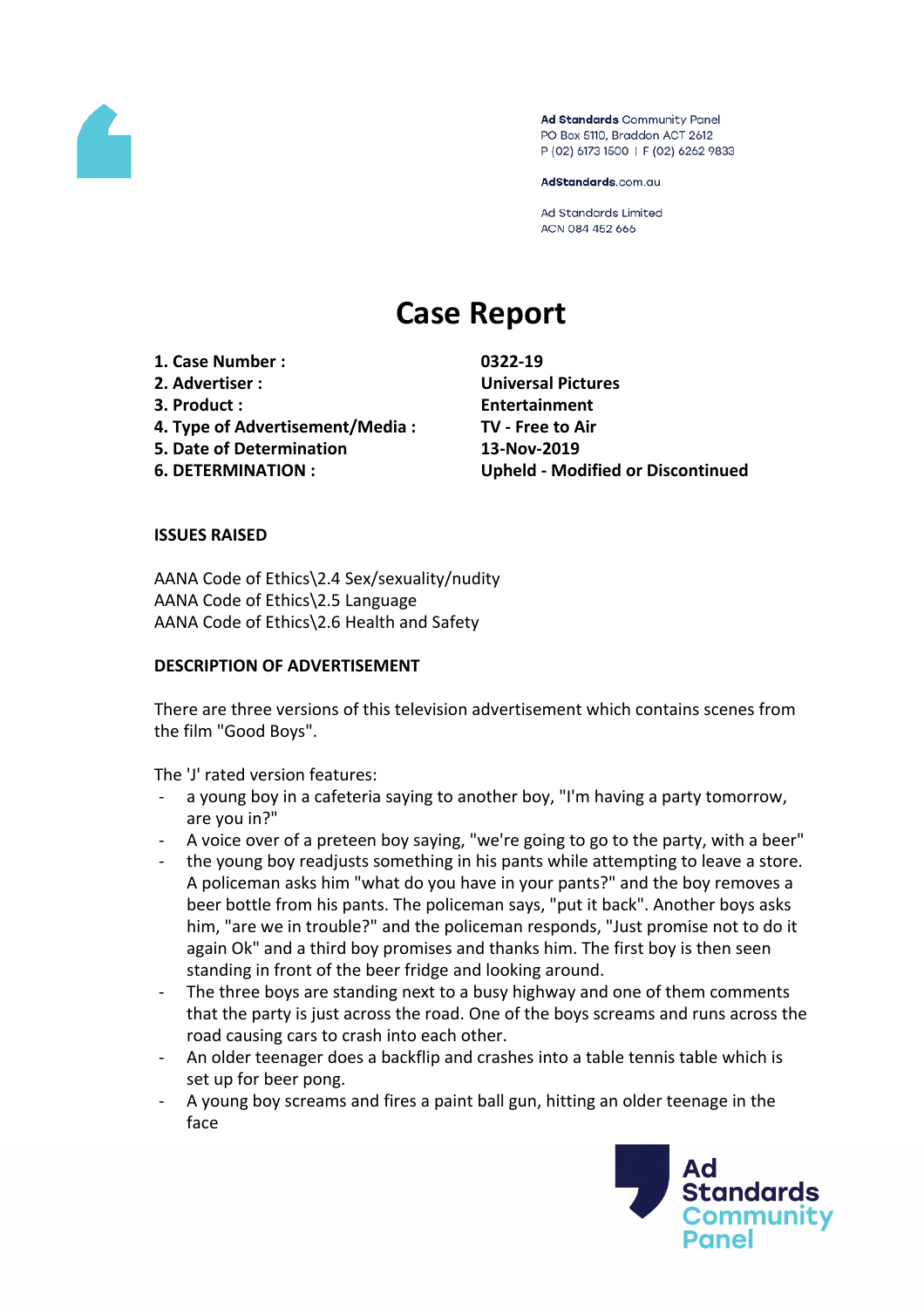

Ad Standards Community Panel PO Box 5110, Braddon ACT 2612 P (02) 6173 1500 | F (02) 6262 9833

AdStandards.com.au

**Ad Standards Limited** ACN 084 452 666

# **Case Report**

**1. Case Number : 0322-19 2. Advertiser : Universal Pictures 3. Product : Entertainment 4. Type of Advertisement/Media : TV - Free to Air 5. Date of Determination 13-Nov-2019**

**6. DETERMINATION : Upheld - Modified or Discontinued**

### **ISSUES RAISED**

AANA Code of Ethics\2.4 Sex/sexuality/nudity AANA Code of Ethics\2.5 Language AANA Code of Ethics\2.6 Health and Safety

### **DESCRIPTION OF ADVERTISEMENT**

There are three versions of this television advertisement which contains scenes from the film "Good Boys".

The 'J' rated version features:

- a young boy in a cafeteria saying to another boy, "I'm having a party tomorrow, are you in?"
- A voice over of a preteen boy saying, "we're going to go to the party, with a beer"
- the young boy readjusts something in his pants while attempting to leave a store. A policeman asks him "what do you have in your pants?" and the boy removes a beer bottle from his pants. The policeman says, "put it back". Another boys asks him, "are we in trouble?" and the policeman responds, "Just promise not to do it again Ok" and a third boy promises and thanks him. The first boy is then seen standing in front of the beer fridge and looking around.
- The three boys are standing next to a busy highway and one of them comments that the party is just across the road. One of the boys screams and runs across the road causing cars to crash into each other.
- An older teenager does a backflip and crashes into a table tennis table which is set up for beer pong.
- A young boy screams and fires a paint ball gun, hitting an older teenage in the face

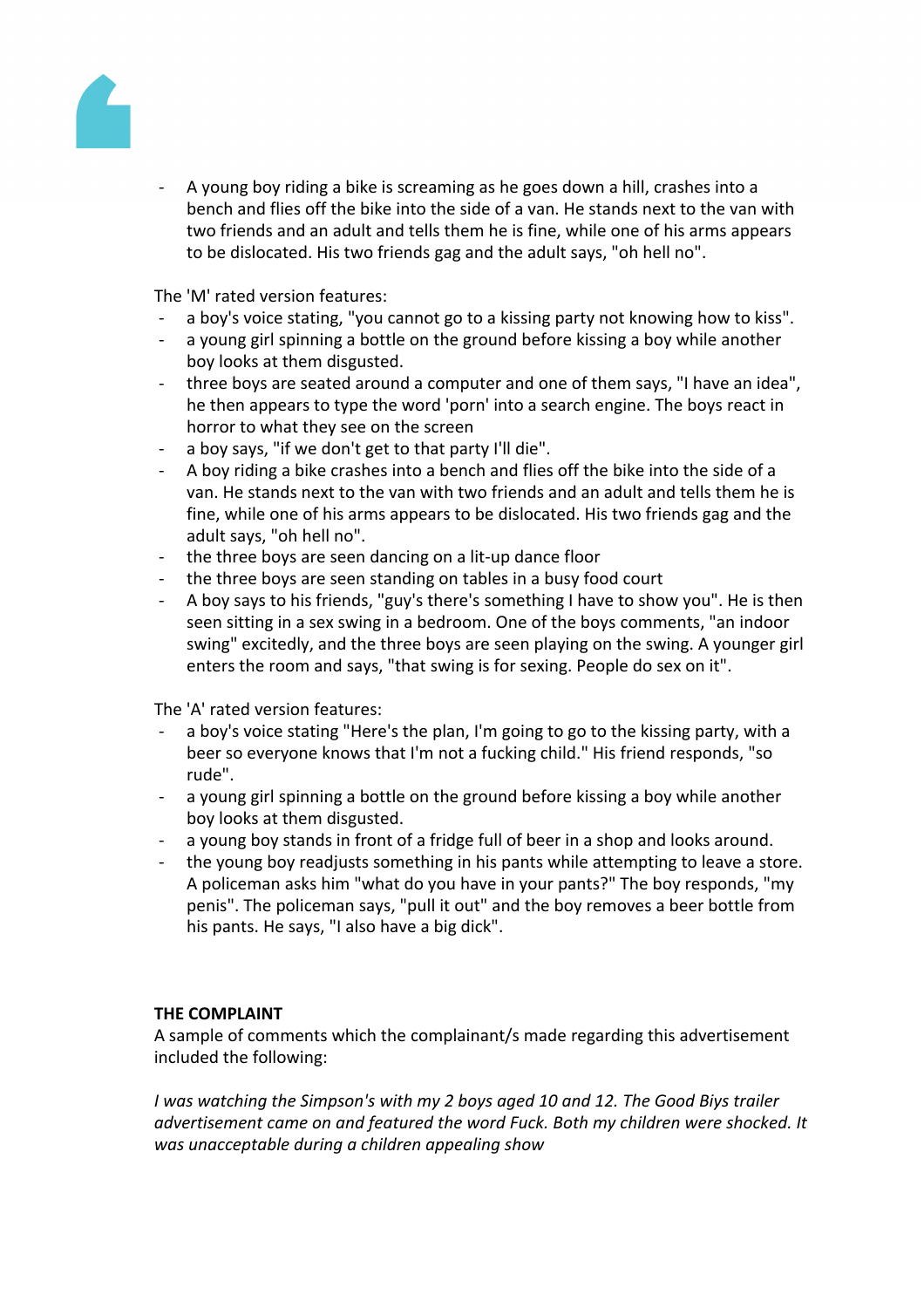

A young boy riding a bike is screaming as he goes down a hill, crashes into a bench and flies off the bike into the side of a van. He stands next to the van with two friends and an adult and tells them he is fine, while one of his arms appears to be dislocated. His two friends gag and the adult says, "oh hell no".

The 'M' rated version features:

- a boy's voice stating, "you cannot go to a kissing party not knowing how to kiss".
- a young girl spinning a bottle on the ground before kissing a boy while another boy looks at them disgusted.
- three boys are seated around a computer and one of them says, "I have an idea", he then appears to type the word 'porn' into a search engine. The boys react in horror to what they see on the screen
- a boy says, "if we don't get to that party I'll die".
- A boy riding a bike crashes into a bench and flies off the bike into the side of a van. He stands next to the van with two friends and an adult and tells them he is fine, while one of his arms appears to be dislocated. His two friends gag and the adult says, "oh hell no".
- the three boys are seen dancing on a lit-up dance floor
- the three boys are seen standing on tables in a busy food court
- A boy says to his friends, "guy's there's something I have to show you". He is then seen sitting in a sex swing in a bedroom. One of the boys comments, "an indoor swing" excitedly, and the three boys are seen playing on the swing. A younger girl enters the room and says, "that swing is for sexing. People do sex on it".

The 'A' rated version features:

- a boy's voice stating "Here's the plan, I'm going to go to the kissing party, with a beer so everyone knows that I'm not a fucking child." His friend responds, "so rude".
- a young girl spinning a bottle on the ground before kissing a boy while another boy looks at them disgusted.
- a young boy stands in front of a fridge full of beer in a shop and looks around.
- the young boy readjusts something in his pants while attempting to leave a store. A policeman asks him "what do you have in your pants?" The boy responds, "my penis". The policeman says, "pull it out" and the boy removes a beer bottle from his pants. He says, "I also have a big dick".

### **THE COMPLAINT**

A sample of comments which the complainant/s made regarding this advertisement included the following:

*I was watching the Simpson's with my 2 boys aged 10 and 12. The Good Biys trailer advertisement came on and featured the word Fuck. Both my children were shocked. It was unacceptable during a children appealing show*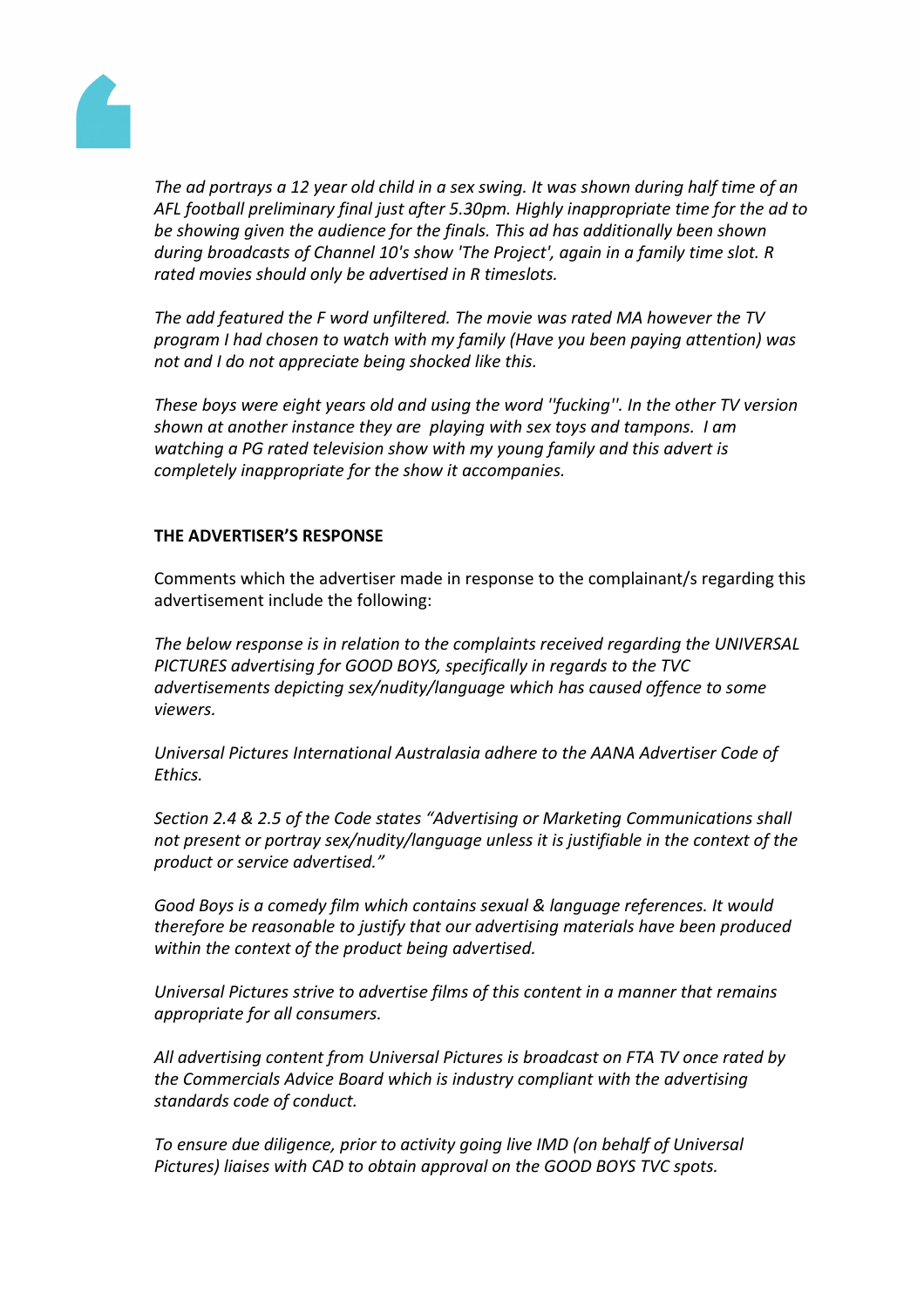

The ad portrays a 12 year old child in a sex swing. It was shown during half time of an *AFL football preliminary final just after 5.30pm. Highly inappropriate time for the ad to be showing given the audience for the finals. This ad has additionally been shown during broadcasts of Channel 10's show 'The Project', again in a family time slot. R rated movies should only be advertised in R timeslots.*

*The add featured the F word unfiltered. The movie was rated MA however the TV program I had chosen to watch with my family (Have you been paying attention) was not and I do not appreciate being shocked like this.*

*These boys were eight years old and using the word ''fucking''. In the other TV version shown at another instance they are playing with sex toys and tampons. I am watching a PG rated television show with my young family and this advert is completely inappropriate for the show it accompanies.*

# **THE ADVERTISER'S RESPONSE**

Comments which the advertiser made in response to the complainant/s regarding this advertisement include the following:

*The below response is in relation to the complaints received regarding the UNIVERSAL PICTURES advertising for GOOD BOYS, specifically in regards to the TVC advertisements depicting sex/nudity/language which has caused offence to some viewers.*

*Universal Pictures International Australasia adhere to the AANA Advertiser Code of Ethics.*

*Section 2.4 & 2.5 of the Code states "Advertising or Marketing Communications shall not present or portray sex/nudity/language unless it is justifiable in the context of the product or service advertised."*

*Good Boys is a comedy film which contains sexual & language references. It would therefore be reasonable to justify that our advertising materials have been produced within the context of the product being advertised.*

*Universal Pictures strive to advertise films of this content in a manner that remains appropriate for all consumers.*

*All advertising content from Universal Pictures is broadcast on FTA TV once rated by the Commercials Advice Board which is industry compliant with the advertising standards code of conduct.*

*To ensure due diligence, prior to activity going live IMD (on behalf of Universal Pictures) liaises with CAD to obtain approval on the GOOD BOYS TVC spots.*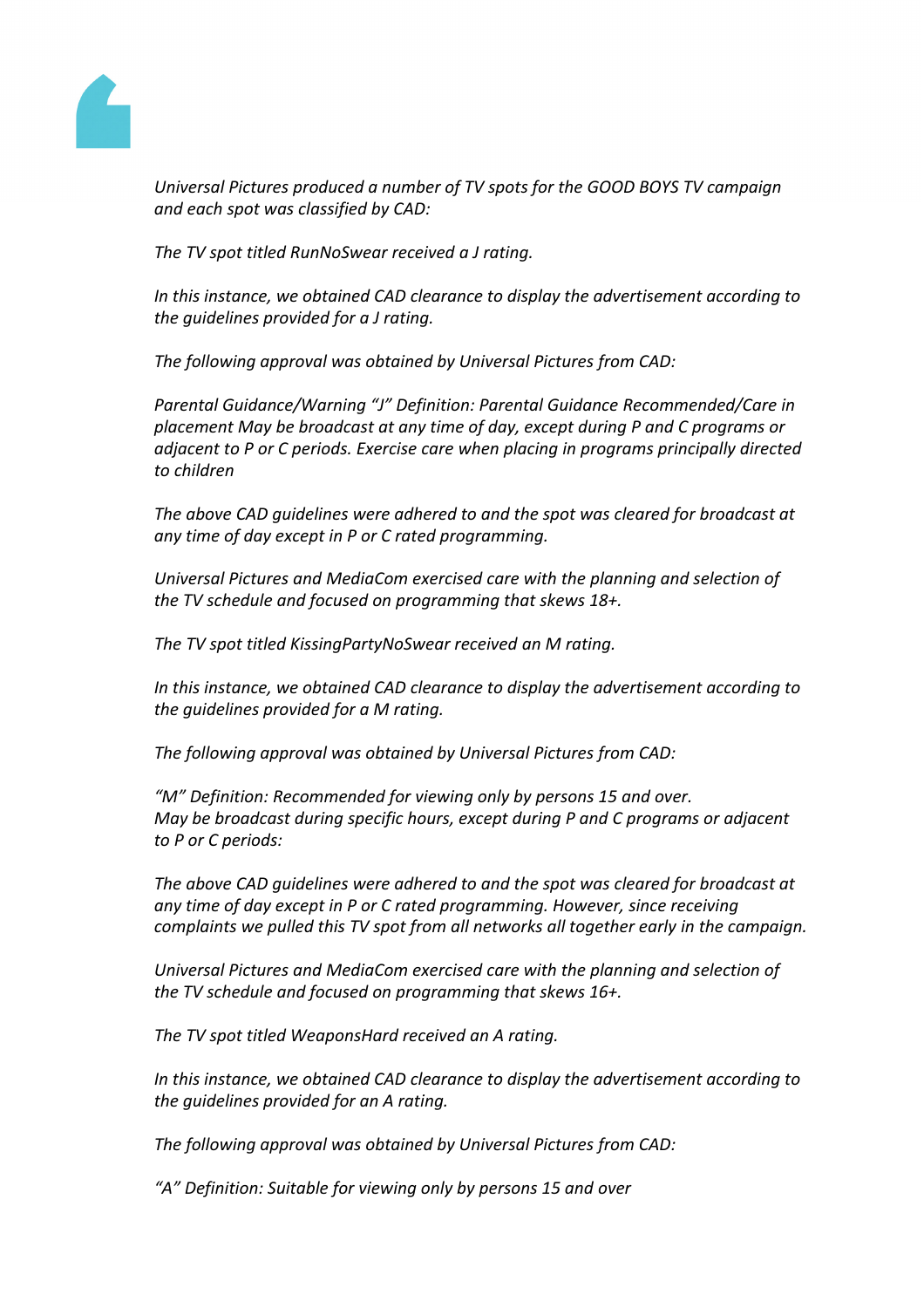

*Universal Pictures produced a number of TV spots for the GOOD BOYS TV campaign and each spot was classified by CAD:*

*The TV spot titled RunNoSwear received a J rating.*

*In this instance, we obtained CAD clearance to display the advertisement according to the guidelines provided for a J rating.*

*The following approval was obtained by Universal Pictures from CAD:*

*Parental Guidance/Warning "J" Definition: Parental Guidance Recommended/Care in placement May be broadcast at any time of day, except during P and C programs or adjacent to P or C periods. Exercise care when placing in programs principally directed to children*

*The above CAD guidelines were adhered to and the spot was cleared for broadcast at any time of day except in P or C rated programming.*

*Universal Pictures and MediaCom exercised care with the planning and selection of the TV schedule and focused on programming that skews 18+.*

*The TV spot titled KissingPartyNoSwear received an M rating.*

*In this instance, we obtained CAD clearance to display the advertisement according to the guidelines provided for a M rating.*

*The following approval was obtained by Universal Pictures from CAD:*

*"M" Definition: Recommended for viewing only by persons 15 and over. May be broadcast during specific hours, except during P and C programs or adjacent to P or C periods:*

*The above CAD guidelines were adhered to and the spot was cleared for broadcast at any time of day except in P or C rated programming. However, since receiving complaints we pulled this TV spot from all networks all together early in the campaign.*

*Universal Pictures and MediaCom exercised care with the planning and selection of the TV schedule and focused on programming that skews 16+.*

*The TV spot titled WeaponsHard received an A rating.*

*In this instance, we obtained CAD clearance to display the advertisement according to the guidelines provided for an A rating.*

*The following approval was obtained by Universal Pictures from CAD:*

*"A" Definition: Suitable for viewing only by persons 15 and over*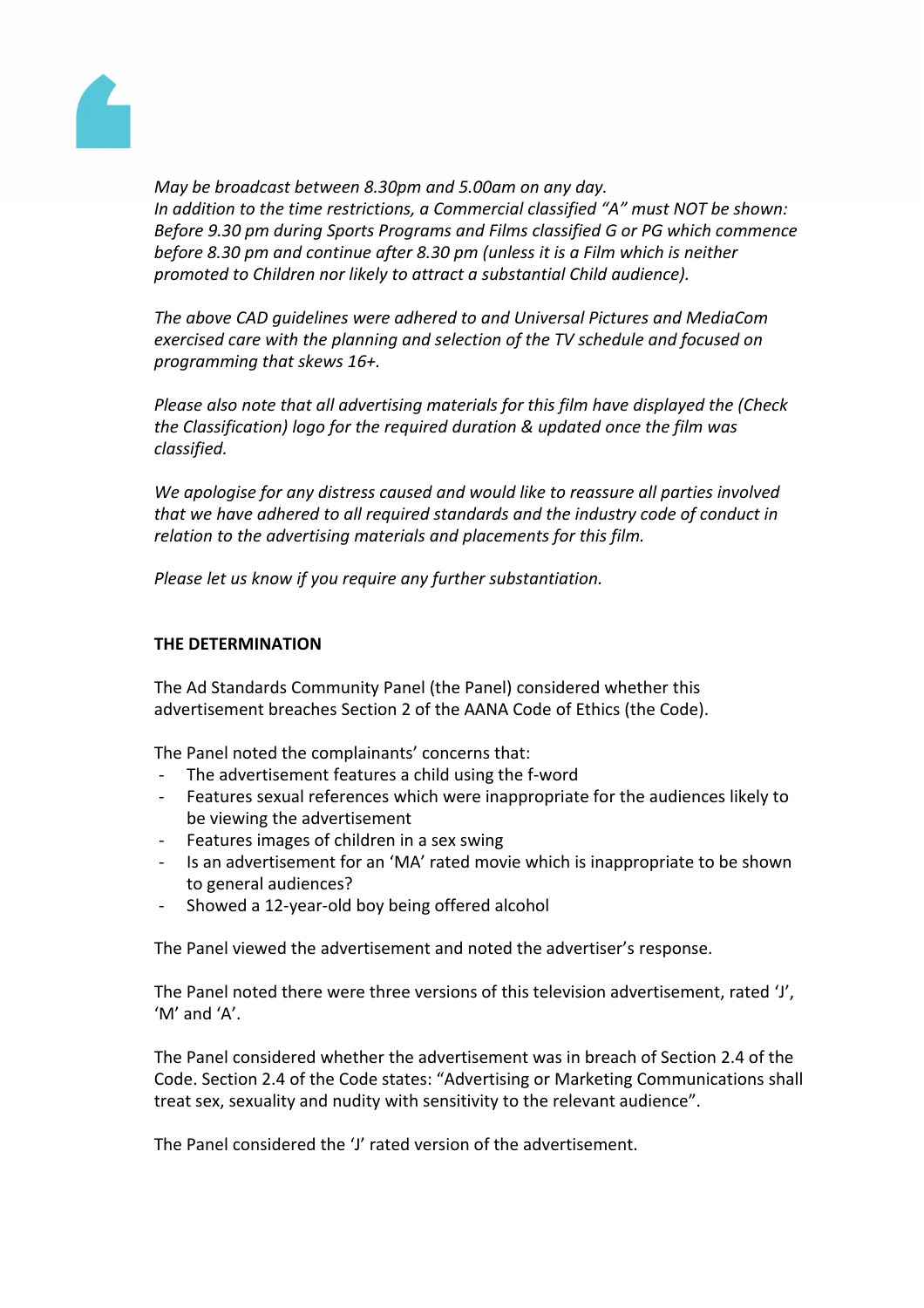

*May be broadcast between 8.30pm and 5.00am on any day. In addition to the time restrictions, a Commercial classified "A" must NOT be shown: Before 9.30 pm during Sports Programs and Films classified G or PG which commence before 8.30 pm and continue after 8.30 pm (unless it is a Film which is neither promoted to Children nor likely to attract a substantial Child audience).*

*The above CAD guidelines were adhered to and Universal Pictures and MediaCom exercised care with the planning and selection of the TV schedule and focused on programming that skews 16+.*

*Please also note that all advertising materials for this film have displayed the (Check the Classification) logo for the required duration & updated once the film was classified.*

*We apologise for any distress caused and would like to reassure all parties involved that we have adhered to all required standards and the industry code of conduct in relation to the advertising materials and placements for this film.*

*Please let us know if you require any further substantiation.*

# **THE DETERMINATION**

The Ad Standards Community Panel (the Panel) considered whether this advertisement breaches Section 2 of the AANA Code of Ethics (the Code).

The Panel noted the complainants' concerns that:

- The advertisement features a child using the f-word
- Features sexual references which were inappropriate for the audiences likely to be viewing the advertisement
- Features images of children in a sex swing
- Is an advertisement for an 'MA' rated movie which is inappropriate to be shown to general audiences?
- Showed a 12-year-old boy being offered alcohol

The Panel viewed the advertisement and noted the advertiser's response.

The Panel noted there were three versions of this television advertisement, rated 'J', 'M' and 'A'.

The Panel considered whether the advertisement was in breach of Section 2.4 of the Code. Section 2.4 of the Code states: "Advertising or Marketing Communications shall treat sex, sexuality and nudity with sensitivity to the relevant audience".

The Panel considered the 'J' rated version of the advertisement.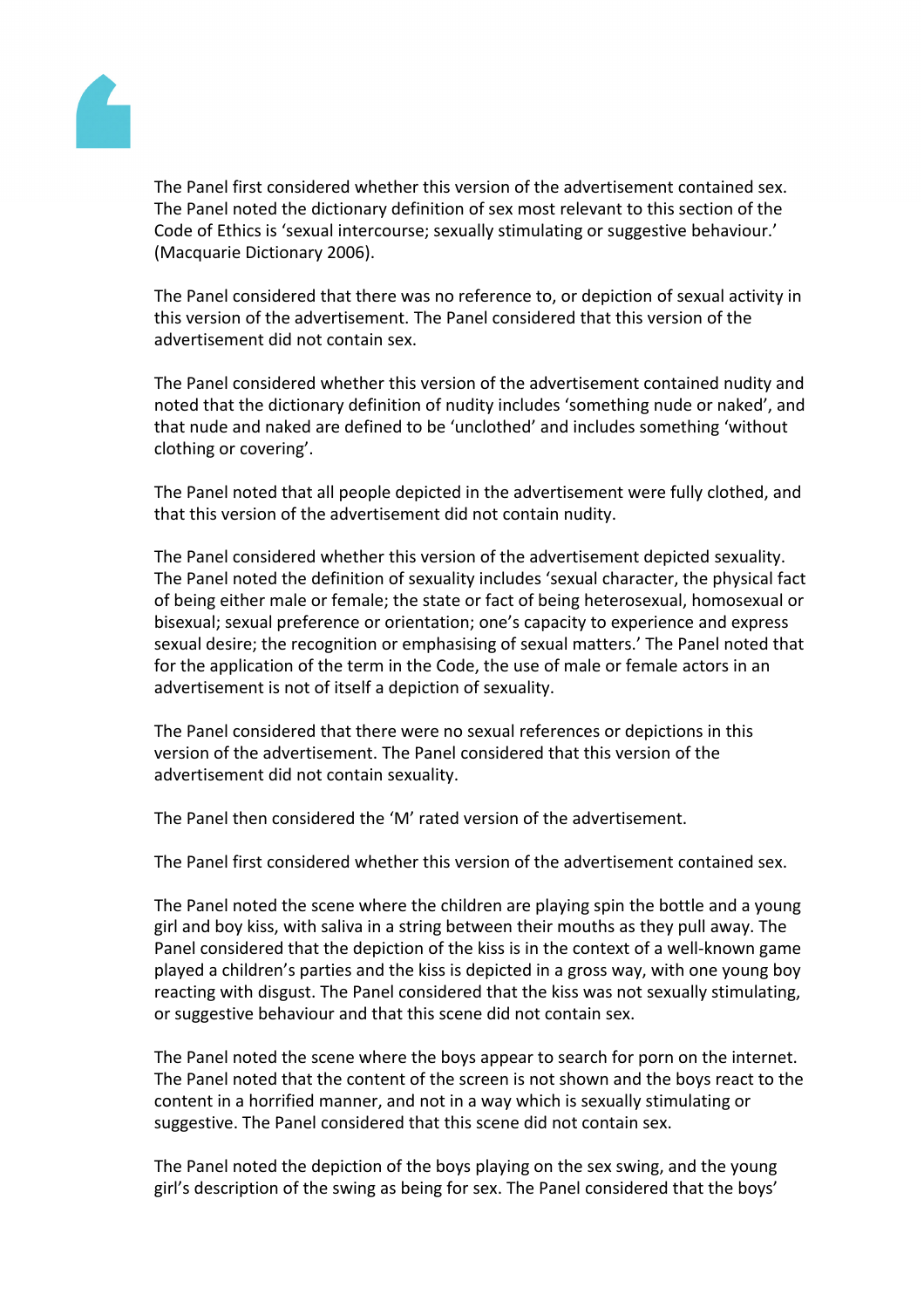

The Panel first considered whether this version of the advertisement contained sex. The Panel noted the dictionary definition of sex most relevant to this section of the Code of Ethics is 'sexual intercourse; sexually stimulating or suggestive behaviour.' (Macquarie Dictionary 2006).

The Panel considered that there was no reference to, or depiction of sexual activity in this version of the advertisement. The Panel considered that this version of the advertisement did not contain sex.

The Panel considered whether this version of the advertisement contained nudity and noted that the dictionary definition of nudity includes 'something nude or naked', and that nude and naked are defined to be 'unclothed' and includes something 'without clothing or covering'.

The Panel noted that all people depicted in the advertisement were fully clothed, and that this version of the advertisement did not contain nudity.

The Panel considered whether this version of the advertisement depicted sexuality. The Panel noted the definition of sexuality includes 'sexual character, the physical fact of being either male or female; the state or fact of being heterosexual, homosexual or bisexual; sexual preference or orientation; one's capacity to experience and express sexual desire; the recognition or emphasising of sexual matters.' The Panel noted that for the application of the term in the Code, the use of male or female actors in an advertisement is not of itself a depiction of sexuality.

The Panel considered that there were no sexual references or depictions in this version of the advertisement. The Panel considered that this version of the advertisement did not contain sexuality.

The Panel then considered the 'M' rated version of the advertisement.

The Panel first considered whether this version of the advertisement contained sex.

The Panel noted the scene where the children are playing spin the bottle and a young girl and boy kiss, with saliva in a string between their mouths as they pull away. The Panel considered that the depiction of the kiss is in the context of a well-known game played a children's parties and the kiss is depicted in a gross way, with one young boy reacting with disgust. The Panel considered that the kiss was not sexually stimulating, or suggestive behaviour and that this scene did not contain sex.

The Panel noted the scene where the boys appear to search for porn on the internet. The Panel noted that the content of the screen is not shown and the boys react to the content in a horrified manner, and not in a way which is sexually stimulating or suggestive. The Panel considered that this scene did not contain sex.

The Panel noted the depiction of the boys playing on the sex swing, and the young girl's description of the swing as being for sex. The Panel considered that the boys'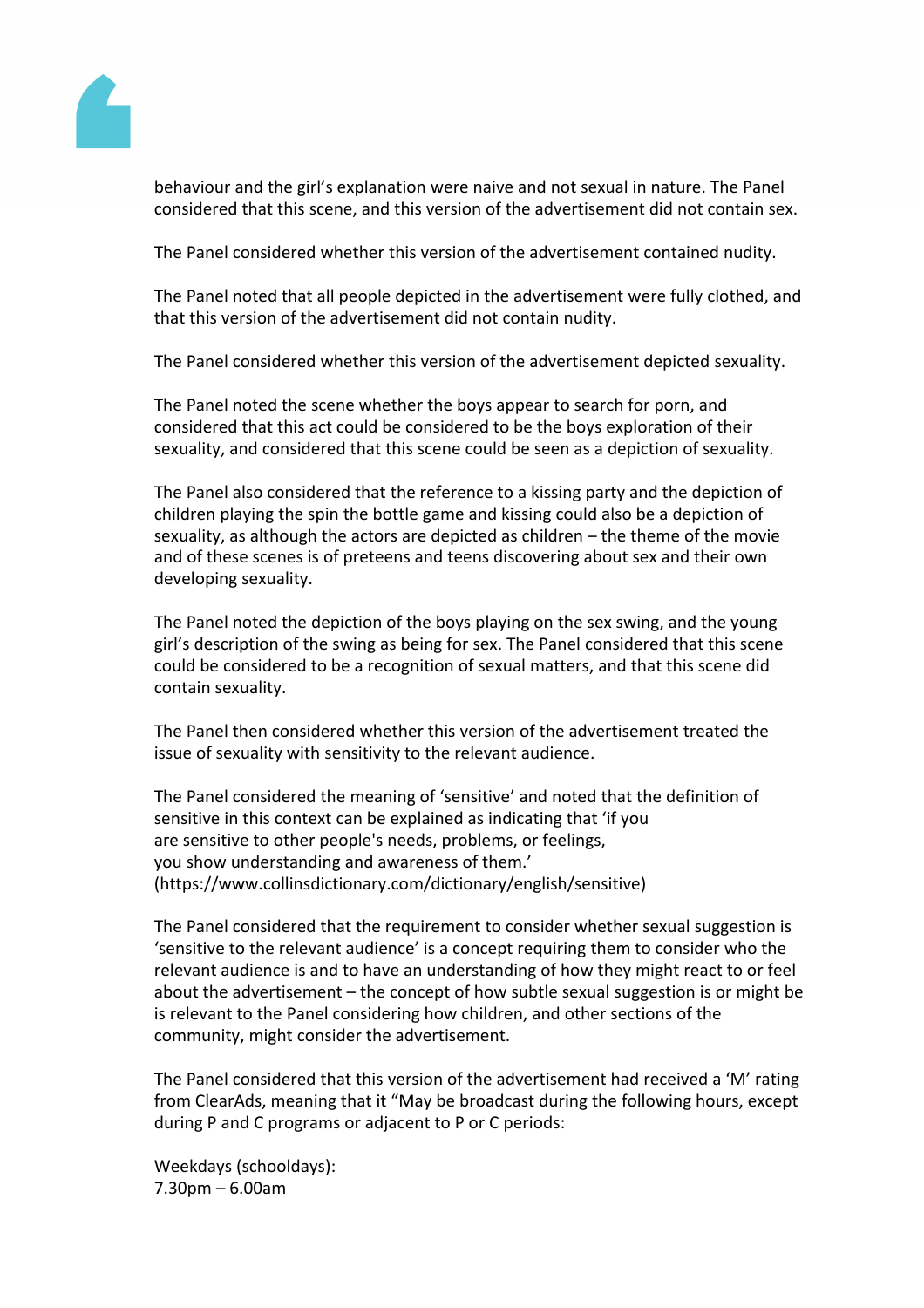

behaviour and the girl's explanation were naive and not sexual in nature. The Panel considered that this scene, and this version of the advertisement did not contain sex.

The Panel considered whether this version of the advertisement contained nudity.

The Panel noted that all people depicted in the advertisement were fully clothed, and that this version of the advertisement did not contain nudity.

The Panel considered whether this version of the advertisement depicted sexuality.

The Panel noted the scene whether the boys appear to search for porn, and considered that this act could be considered to be the boys exploration of their sexuality, and considered that this scene could be seen as a depiction of sexuality.

The Panel also considered that the reference to a kissing party and the depiction of children playing the spin the bottle game and kissing could also be a depiction of sexuality, as although the actors are depicted as children – the theme of the movie and of these scenes is of preteens and teens discovering about sex and their own developing sexuality.

The Panel noted the depiction of the boys playing on the sex swing, and the young girl's description of the swing as being for sex. The Panel considered that this scene could be considered to be a recognition of sexual matters, and that this scene did contain sexuality.

The Panel then considered whether this version of the advertisement treated the issue of sexuality with sensitivity to the relevant audience.

The Panel considered the meaning of 'sensitive' and noted that the definition of sensitive in this context can be explained as indicating that 'if you are sensitive to other people's needs, problems, or feelings, you show understanding and awareness of them.' (https://www.collinsdictionary.com/dictionary/english/sensitive)

The Panel considered that the requirement to consider whether sexual suggestion is 'sensitive to the relevant audience' is a concept requiring them to consider who the relevant audience is and to have an understanding of how they might react to or feel about the advertisement – the concept of how subtle sexual suggestion is or might be is relevant to the Panel considering how children, and other sections of the community, might consider the advertisement.

The Panel considered that this version of the advertisement had received a 'M' rating from ClearAds, meaning that it "May be broadcast during the following hours, except during P and C programs or adjacent to P or C periods:

Weekdays (schooldays): 7.30pm – 6.00am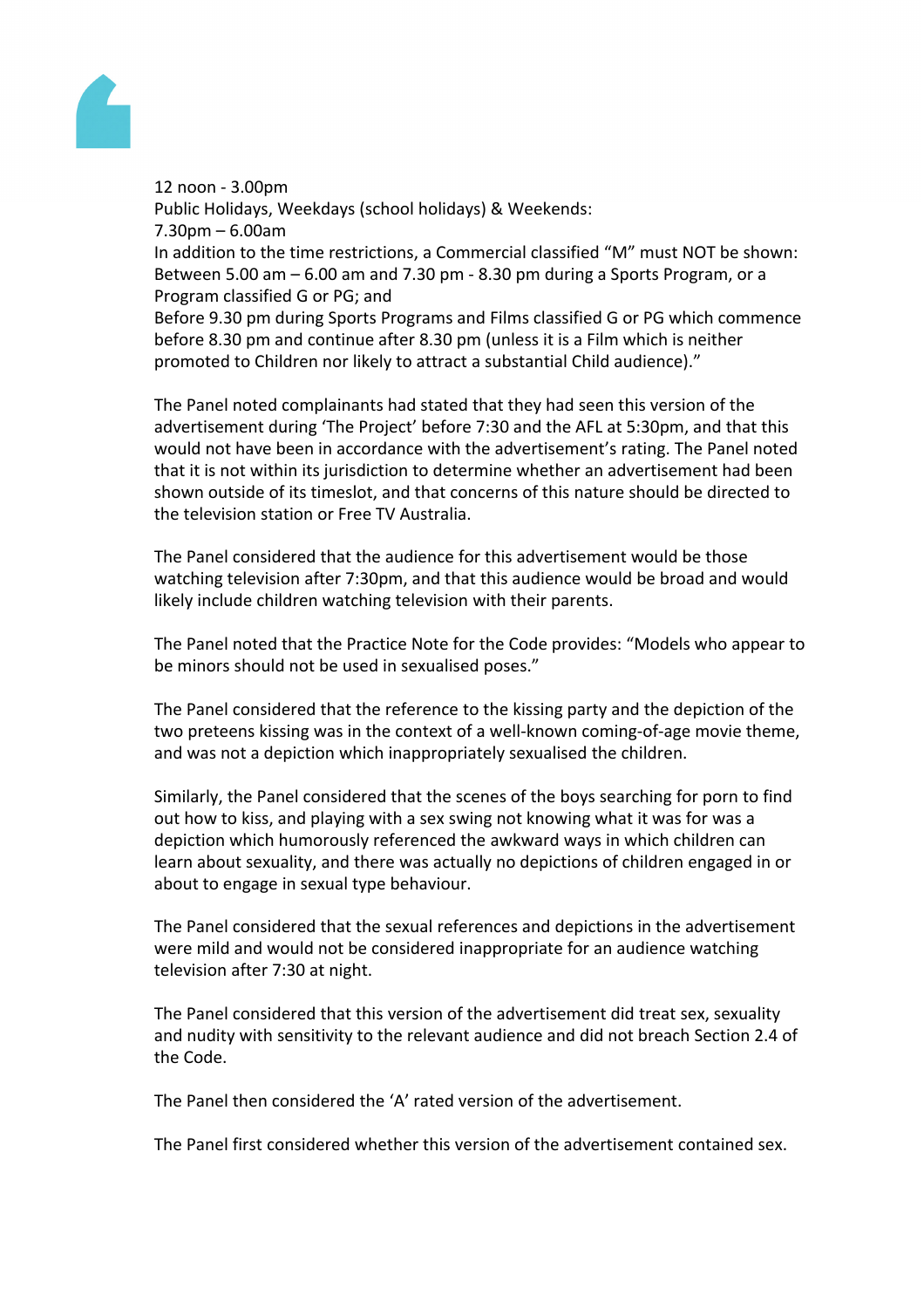

12 noon - 3.00pm Public Holidays, Weekdays (school holidays) & Weekends: 7.30pm – 6.00am In addition to the time restrictions, a Commercial classified "M" must NOT be shown: Between 5.00 am – 6.00 am and 7.30 pm - 8.30 pm during a Sports Program, or a Program classified G or PG; and Before 9.30 pm during Sports Programs and Films classified G or PG which commence

before 8.30 pm and continue after 8.30 pm (unless it is a Film which is neither promoted to Children nor likely to attract a substantial Child audience)."

The Panel noted complainants had stated that they had seen this version of the advertisement during 'The Project' before 7:30 and the AFL at 5:30pm, and that this would not have been in accordance with the advertisement's rating. The Panel noted that it is not within its jurisdiction to determine whether an advertisement had been shown outside of its timeslot, and that concerns of this nature should be directed to the television station or Free TV Australia.

The Panel considered that the audience for this advertisement would be those watching television after 7:30pm, and that this audience would be broad and would likely include children watching television with their parents.

The Panel noted that the Practice Note for the Code provides: "Models who appear to be minors should not be used in sexualised poses."

The Panel considered that the reference to the kissing party and the depiction of the two preteens kissing was in the context of a well-known coming-of-age movie theme, and was not a depiction which inappropriately sexualised the children.

Similarly, the Panel considered that the scenes of the boys searching for porn to find out how to kiss, and playing with a sex swing not knowing what it was for was a depiction which humorously referenced the awkward ways in which children can learn about sexuality, and there was actually no depictions of children engaged in or about to engage in sexual type behaviour.

The Panel considered that the sexual references and depictions in the advertisement were mild and would not be considered inappropriate for an audience watching television after 7:30 at night.

The Panel considered that this version of the advertisement did treat sex, sexuality and nudity with sensitivity to the relevant audience and did not breach Section 2.4 of the Code.

The Panel then considered the 'A' rated version of the advertisement.

The Panel first considered whether this version of the advertisement contained sex.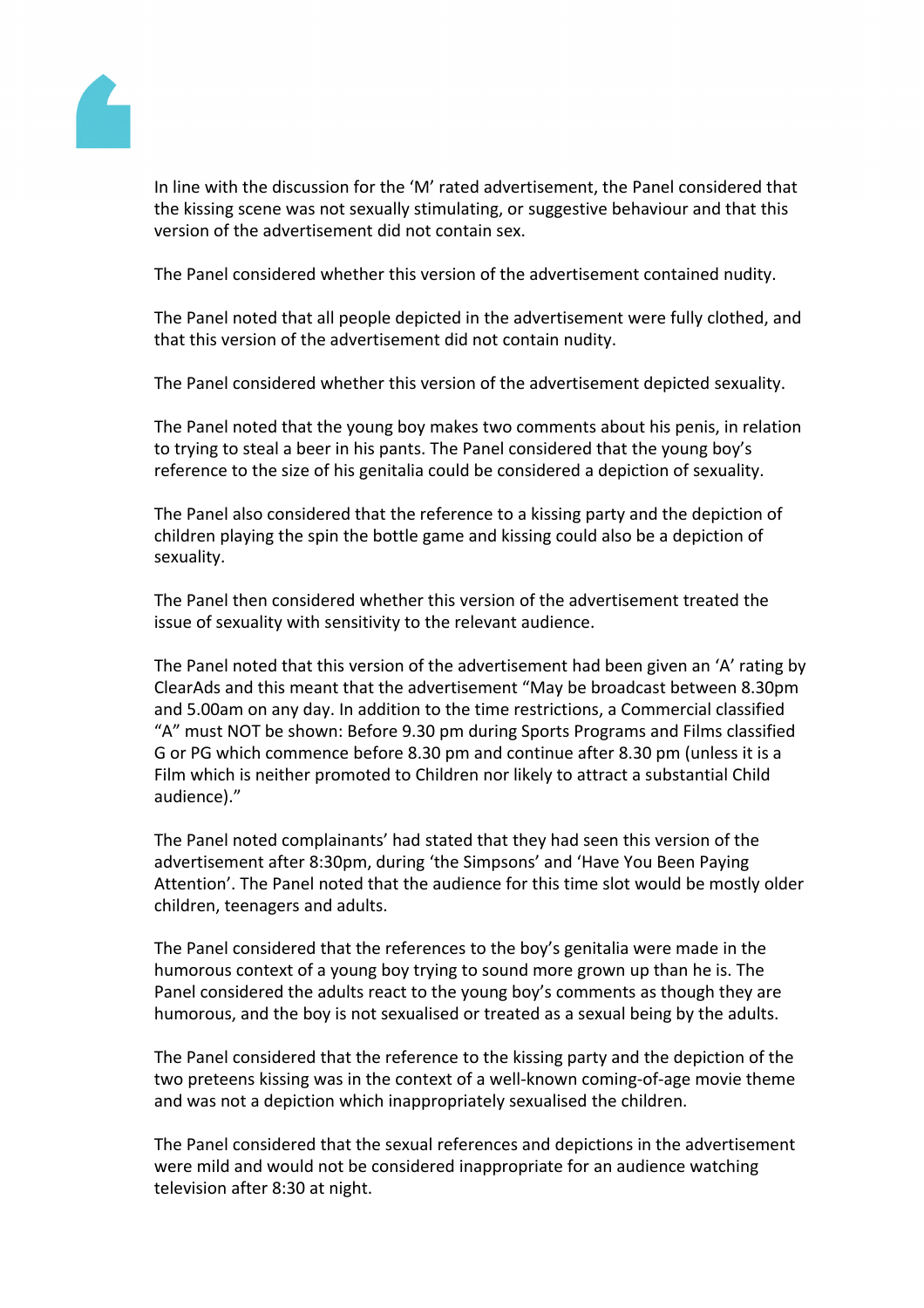

In line with the discussion for the 'M' rated advertisement, the Panel considered that the kissing scene was not sexually stimulating, or suggestive behaviour and that this version of the advertisement did not contain sex.

The Panel considered whether this version of the advertisement contained nudity.

The Panel noted that all people depicted in the advertisement were fully clothed, and that this version of the advertisement did not contain nudity.

The Panel considered whether this version of the advertisement depicted sexuality.

The Panel noted that the young boy makes two comments about his penis, in relation to trying to steal a beer in his pants. The Panel considered that the young boy's reference to the size of his genitalia could be considered a depiction of sexuality.

The Panel also considered that the reference to a kissing party and the depiction of children playing the spin the bottle game and kissing could also be a depiction of sexuality.

The Panel then considered whether this version of the advertisement treated the issue of sexuality with sensitivity to the relevant audience.

The Panel noted that this version of the advertisement had been given an 'A' rating by ClearAds and this meant that the advertisement "May be broadcast between 8.30pm and 5.00am on any day. In addition to the time restrictions, a Commercial classified "A" must NOT be shown: Before 9.30 pm during Sports Programs and Films classified G or PG which commence before 8.30 pm and continue after 8.30 pm (unless it is a Film which is neither promoted to Children nor likely to attract a substantial Child audience)."

The Panel noted complainants' had stated that they had seen this version of the advertisement after 8:30pm, during 'the Simpsons' and 'Have You Been Paying Attention'. The Panel noted that the audience for this time slot would be mostly older children, teenagers and adults.

The Panel considered that the references to the boy's genitalia were made in the humorous context of a young boy trying to sound more grown up than he is. The Panel considered the adults react to the young boy's comments as though they are humorous, and the boy is not sexualised or treated as a sexual being by the adults.

The Panel considered that the reference to the kissing party and the depiction of the two preteens kissing was in the context of a well-known coming-of-age movie theme and was not a depiction which inappropriately sexualised the children.

The Panel considered that the sexual references and depictions in the advertisement were mild and would not be considered inappropriate for an audience watching television after 8:30 at night.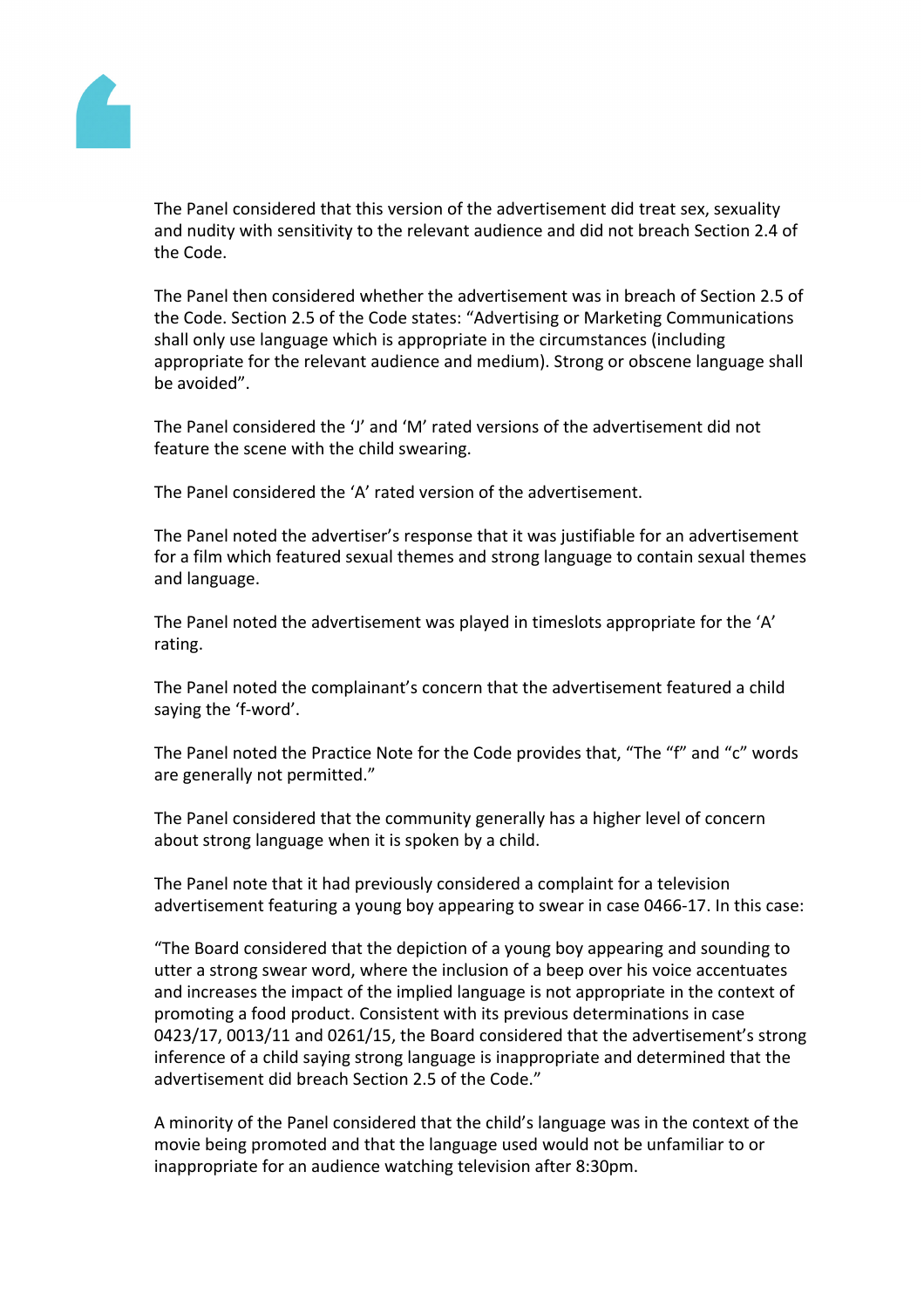

The Panel considered that this version of the advertisement did treat sex, sexuality and nudity with sensitivity to the relevant audience and did not breach Section 2.4 of the Code.

The Panel then considered whether the advertisement was in breach of Section 2.5 of the Code. Section 2.5 of the Code states: "Advertising or Marketing Communications shall only use language which is appropriate in the circumstances (including appropriate for the relevant audience and medium). Strong or obscene language shall be avoided".

The Panel considered the 'J' and 'M' rated versions of the advertisement did not feature the scene with the child swearing.

The Panel considered the 'A' rated version of the advertisement.

The Panel noted the advertiser's response that it was justifiable for an advertisement for a film which featured sexual themes and strong language to contain sexual themes and language.

The Panel noted the advertisement was played in timeslots appropriate for the 'A' rating.

The Panel noted the complainant's concern that the advertisement featured a child saying the 'f-word'.

The Panel noted the Practice Note for the Code provides that, "The "f" and "c" words are generally not permitted."

The Panel considered that the community generally has a higher level of concern about strong language when it is spoken by a child.

The Panel note that it had previously considered a complaint for a television advertisement featuring a young boy appearing to swear in case 0466-17. In this case:

"The Board considered that the depiction of a young boy appearing and sounding to utter a strong swear word, where the inclusion of a beep over his voice accentuates and increases the impact of the implied language is not appropriate in the context of promoting a food product. Consistent with its previous determinations in case 0423/17, 0013/11 and 0261/15, the Board considered that the advertisement's strong inference of a child saying strong language is inappropriate and determined that the advertisement did breach Section 2.5 of the Code."

A minority of the Panel considered that the child's language was in the context of the movie being promoted and that the language used would not be unfamiliar to or inappropriate for an audience watching television after 8:30pm.